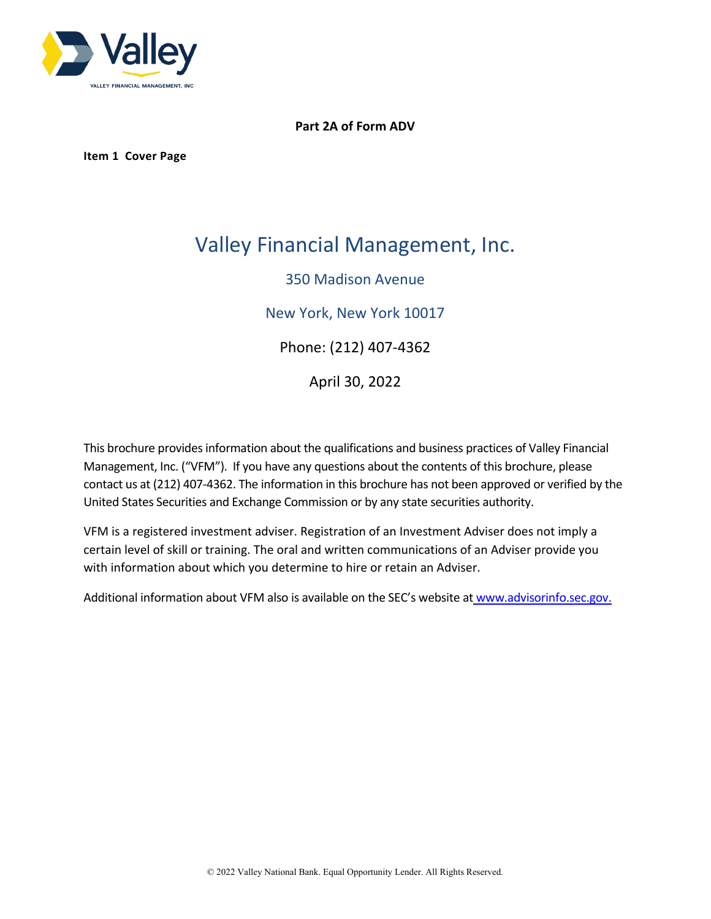

# **Part 2A of Form ADV**

**Item 1 Cover Page**

# Valley Financial Management, Inc.

# 350 Madison Avenue

New York, New York 10017

Phone: (212) 407-4362

April 30, 2022

This brochure provides information about the qualifications and business practices of Valley Financial Management, Inc. ("VFM"). If you have any questions about the contents of this brochure, please contact us at (212) 407-4362. The information in this brochure has not been approved or verified by the United States Securities and Exchange Commission or by any state securities authority.

VFM is a registered investment adviser. Registration of an Investment Adviser does not imply a certain level of skill or training. The oral and written communications of an Adviser provide you with information about which you determine to hire or retain an Adviser.

Additional information about VFM also is available on the SEC's website at [www.advisorinfo.sec.gov.](http://www.advisorinfo.sec.gov/)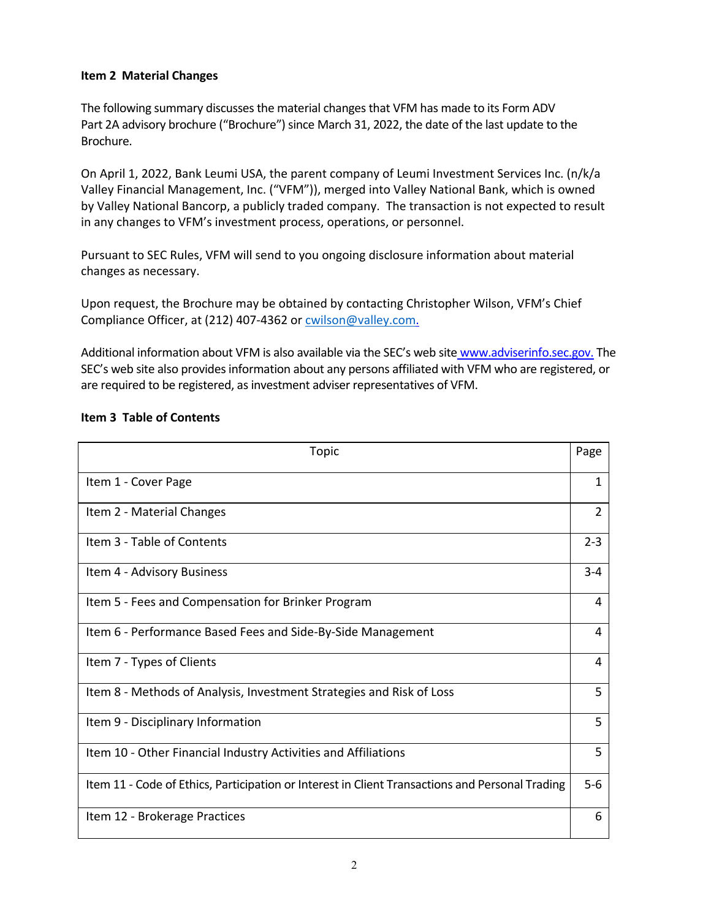# **Item 2 Material Changes**

The following summary discusses the material changes that VFM has made to its Form ADV Part 2A advisory brochure ("Brochure") since March 31, 2022, the date of the last update to the Brochure.

On April 1, 2022, Bank Leumi USA, the parent company of Leumi Investment Services Inc. (n/k/a Valley Financial Management, Inc. ("VFM")), merged into Valley National Bank, which is owned by Valley National Bancorp, a publicly traded company. The transaction is not expected to result in any changes to VFM's investment process, operations, or personnel.

Pursuant to SEC Rules, VFM will send to you ongoing disclosure information about material changes as necessary.

Upon request, the Brochure may be obtained by contacting Christopher Wilson, VFM's Chief Compliance Officer, at (212) 407-4362 or [cwilson@valley.com.](mailto:cwilson@valley.com)

Additional information about VFM is also available via the SEC's web site [www.adviserinfo.sec.gov.](http://www.adviserinfo.sec.gov/) The SEC's web site also provides information about any persons affiliated with VFM who are registered, or are required to be registered, as investment adviser representatives of VFM.

| Topic                                                                                           | Page           |
|-------------------------------------------------------------------------------------------------|----------------|
| Item 1 - Cover Page                                                                             | 1              |
| Item 2 - Material Changes                                                                       | $\overline{2}$ |
| Item 3 - Table of Contents                                                                      | $2 - 3$        |
| Item 4 - Advisory Business                                                                      | $3 - 4$        |
| Item 5 - Fees and Compensation for Brinker Program                                              | 4              |
| Item 6 - Performance Based Fees and Side-By-Side Management                                     | 4              |
| Item 7 - Types of Clients                                                                       | 4              |
| Item 8 - Methods of Analysis, Investment Strategies and Risk of Loss                            | 5              |
| Item 9 - Disciplinary Information                                                               | 5              |
| Item 10 - Other Financial Industry Activities and Affiliations                                  | 5              |
| Item 11 - Code of Ethics, Participation or Interest in Client Transactions and Personal Trading | $5-6$          |
| Item 12 - Brokerage Practices                                                                   | 6              |

# **Item 3 Table of Contents**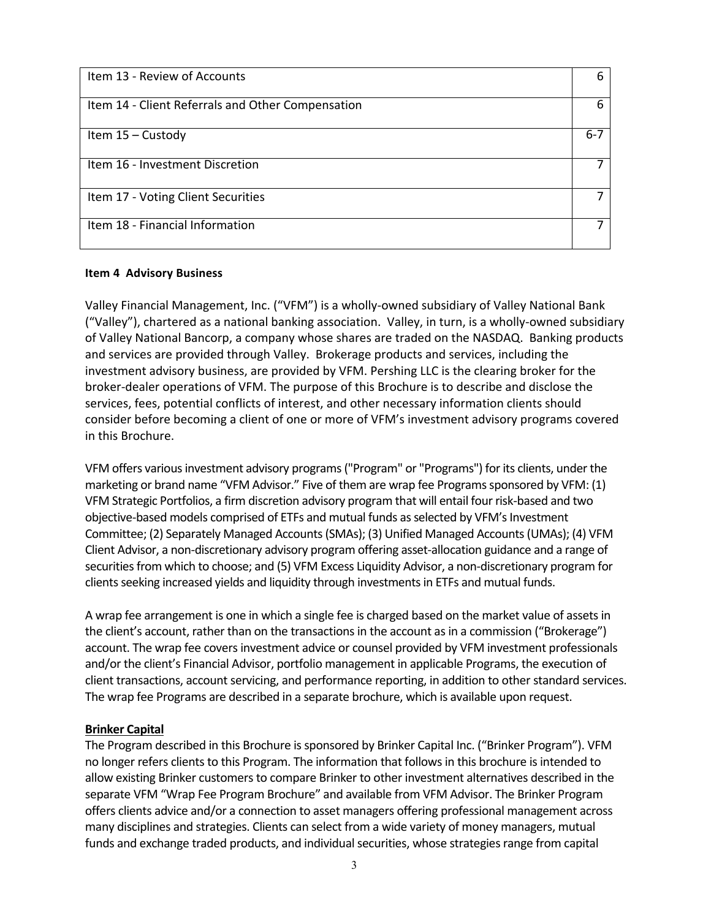| Item 13 - Review of Accounts                      | 6       |
|---------------------------------------------------|---------|
| Item 14 - Client Referrals and Other Compensation | Б       |
| Item $15 -$ Custody                               | $6 - 7$ |
| Item 16 - Investment Discretion                   |         |
| Item 17 - Voting Client Securities                |         |
| Item 18 - Financial Information                   |         |

#### **Item 4 Advisory Business**

Valley Financial Management, Inc. ("VFM") is a wholly-owned subsidiary of Valley National Bank ("Valley"), chartered as a national banking association. Valley, in turn, is a wholly-owned subsidiary of Valley National Bancorp, a company whose shares are traded on the NASDAQ. Banking products and services are provided through Valley. Brokerage products and services, including the investment advisory business, are provided by VFM. Pershing LLC is the clearing broker for the broker-dealer operations of VFM. The purpose of this Brochure is to describe and disclose the services, fees, potential conflicts of interest, and other necessary information clients should consider before becoming a client of one or more of VFM's investment advisory programs covered in this Brochure.

VFM offers various investment advisory programs ("Program" or "Programs") for its clients, under the marketing or brand name "VFM Advisor." Five of them are wrap fee Programs sponsored by VFM: (1) VFM Strategic Portfolios, a firm discretion advisory program that will entail four risk-based and two objective-based models comprised of ETFs and mutual funds as selected by VFM's Investment Committee; (2) Separately Managed Accounts (SMAs); (3) Unified Managed Accounts (UMAs); (4) VFM Client Advisor, a non-discretionary advisory program offering asset-allocation guidance and a range of securities from which to choose; and (5) VFM Excess Liquidity Advisor, a non-discretionary program for clients seeking increased yields and liquidity through investments in ETFs and mutual funds.

A wrap fee arrangement is one in which a single fee is charged based on the market value of assets in the client's account, rather than on the transactions in the account as in a commission ("Brokerage") account. The wrap fee covers investment advice or counsel provided by VFM investment professionals and/or the client's Financial Advisor, portfolio management in applicable Programs, the execution of client transactions, account servicing, and performance reporting, in addition to other standard services. The wrap fee Programs are described in a separate brochure, which is available upon request.

#### **Brinker Capital**

The Program described in this Brochure is sponsored by Brinker Capital Inc. ("Brinker Program"). VFM no longer refers clients to this Program. The information that follows in this brochure is intended to allow existing Brinker customers to compare Brinker to other investment alternatives described in the separate VFM "Wrap Fee Program Brochure" and available from VFM Advisor. The Brinker Program offers clients advice and/or a connection to asset managers offering professional management across many disciplines and strategies. Clients can select from a wide variety of money managers, mutual funds and exchange traded products, and individual securities, whose strategies range from capital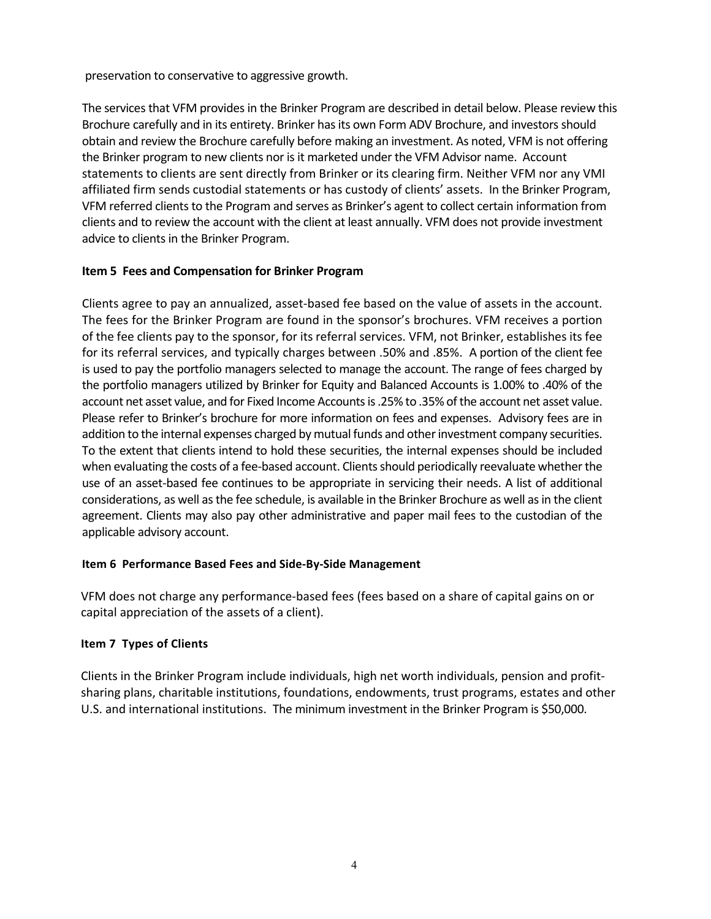preservation to conservative to aggressive growth.

The services that VFM provides in the Brinker Program are described in detail below. Please review this Brochure carefully and in its entirety. Brinker has its own Form ADV Brochure, and investors should obtain and review the Brochure carefully before making an investment. As noted, VFM is not offering the Brinker program to new clients nor is it marketed under the VFM Advisor name. Account statements to clients are sent directly from Brinker or its clearing firm. Neither VFM nor any VMI affiliated firm sends custodial statements or has custody of clients' assets. In the Brinker Program, VFM referred clients to the Program and serves as Brinker's agent to collect certain information from clients and to review the account with the client at least annually. VFM does not provide investment advice to clients in the Brinker Program.

# **Item 5 Fees and Compensation for Brinker Program**

Clients agree to pay an annualized, asset-based fee based on the value of assets in the account. The fees for the Brinker Program are found in the sponsor's brochures. VFM receives a portion of the fee clients pay to the sponsor, for its referral services. VFM, not Brinker, establishes its fee for its referral services, and typically charges between .50% and .85%. A portion of the client fee is used to pay the portfolio managers selected to manage the account. The range of fees charged by the portfolio managers utilized by Brinker for Equity and Balanced Accounts is 1.00% to .40% of the account net asset value, and for Fixed Income Accounts is .25% to .35% of the account net asset value. Please refer to Brinker's brochure for more information on fees and expenses. Advisory fees are in addition to the internal expenses charged by mutual funds and other investment company securities. To the extent that clients intend to hold these securities, the internal expenses should be included when evaluating the costs of a fee-based account. Clients should periodically reevaluate whether the use of an asset-based fee continues to be appropriate in servicing their needs. A list of additional considerations, as well as the fee schedule, is available in the Brinker Brochure as well as in the client agreement. Clients may also pay other administrative and paper mail fees to the custodian of the applicable advisory account.

# **Item 6 Performance Based Fees and Side-By-Side Management**

VFM does not charge any performance-based fees (fees based on a share of capital gains on or capital appreciation of the assets of a client).

# **Item 7 Types of Clients**

Clients in the Brinker Program include individuals, high net worth individuals, pension and profitsharing plans, charitable institutions, foundations, endowments, trust programs, estates and other U.S. and international institutions. The minimum investment in the Brinker Program is \$50,000.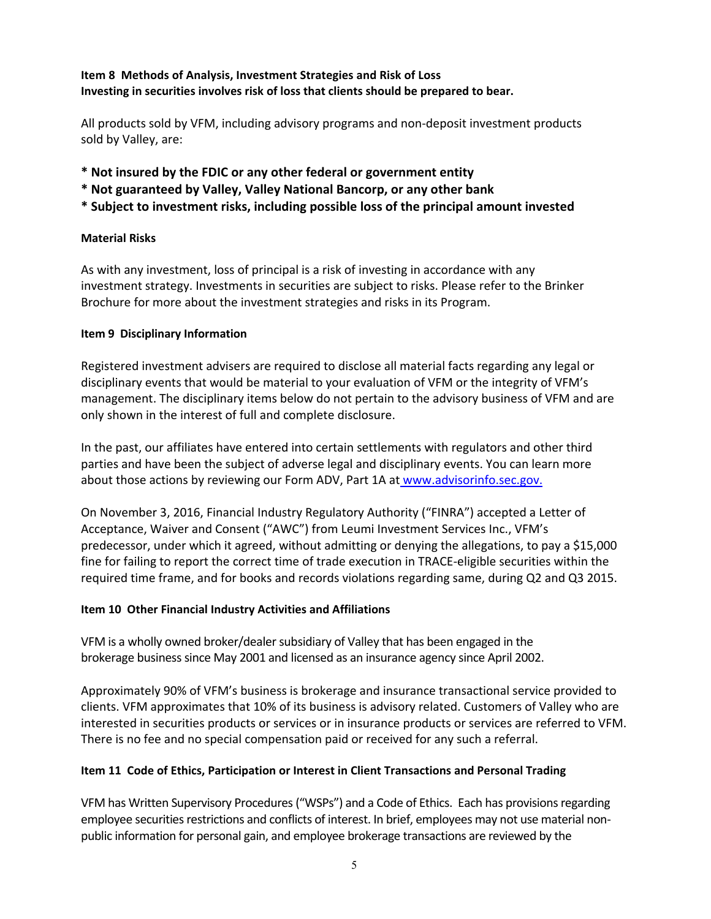# **Item 8 Methods of Analysis, Investment Strategies and Risk of Loss Investing in securities involves risk of loss that clients should be prepared to bear.**

All products sold by VFM, including advisory programs and non-deposit investment products sold by Valley, are:

- **\* Not insured by the FDIC or any other federal or government entity**
- **\* Not guaranteed by Valley, Valley National Bancorp, or any other bank**
- **\* Subject to investment risks, including possible loss of the principal amount invested**

#### **Material Risks**

As with any investment, loss of principal is a risk of investing in accordance with any investment strategy. Investments in securities are subject to risks. Please refer to the Brinker Brochure for more about the investment strategies and risks in its Program.

#### **Item 9 Disciplinary Information**

Registered investment advisers are required to disclose all material facts regarding any legal or disciplinary events that would be material to your evaluation of VFM or the integrity of VFM's management. The disciplinary items below do not pertain to the advisory business of VFM and are only shown in the interest of full and complete disclosure.

In the past, our affiliates have entered into certain settlements with regulators and other third parties and have been the subject of adverse legal and disciplinary events. You can learn more about those actions by reviewing our Form ADV, Part 1A a[t www.advisorinfo.sec.gov.](http://www.advisorinfo.sec.gov/)

On November 3, 2016, Financial Industry Regulatory Authority ("FINRA") accepted a Letter of Acceptance, Waiver and Consent ("AWC") from Leumi Investment Services Inc., VFM's predecessor, under which it agreed, without admitting or denying the allegations, to pay a \$15,000 fine for failing to report the correct time of trade execution in TRACE-eligible securities within the required time frame, and for books and records violations regarding same, during Q2 and Q3 2015.

# **Item 10 Other Financial Industry Activities and Affiliations**

VFM is a wholly owned broker/dealer subsidiary of Valley that has been engaged in the brokerage business since May 2001 and licensed as an insurance agency since April 2002.

Approximately 90% of VFM's business is brokerage and insurance transactional service provided to clients. VFM approximates that 10% of its business is advisory related. Customers of Valley who are interested in securities products or services or in insurance products or services are referred to VFM. There is no fee and no special compensation paid or received for any such a referral.

# **Item 11 Code of Ethics, Participation or Interest in Client Transactions and Personal Trading**

VFM has Written Supervisory Procedures("WSPs") and a Code of Ethics. Each has provisions regarding employee securities restrictions and conflicts of interest. In brief, employees may not use material nonpublic information for personal gain, and employee brokerage transactions are reviewed by the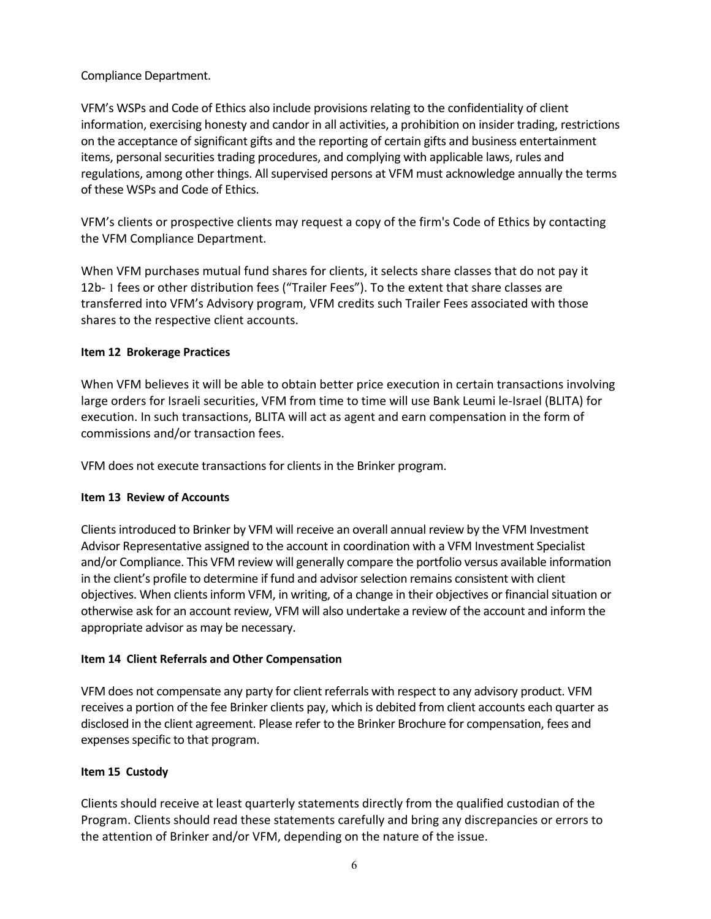# Compliance Department.

VFM's WSPs and Code of Ethics also include provisions relating to the confidentiality of client information, exercising honesty and candor in all activities, a prohibition on insider trading, restrictions on the acceptance of significant gifts and the reporting of certain gifts and business entertainment items, personal securities trading procedures, and complying with applicable laws, rules and regulations, among other things. All supervised persons at VFM must acknowledge annually the terms of these WSPs and Code of Ethics.

VFM's clients or prospective clients may request a copy of the firm's Code of Ethics by contacting the VFM Compliance Department.

When VFM purchases mutual fund shares for clients, it selects share classes that do not pay it 12b- 1 fees or other distribution fees ("Trailer Fees"). To the extent that share classes are transferred into VFM's Advisory program, VFM credits such Trailer Fees associated with those shares to the respective client accounts.

# **Item 12 Brokerage Practices**

When VFM believes it will be able to obtain better price execution in certain transactions involving large orders for Israeli securities, VFM from time to time will use Bank Leumi le-Israel (BLITA) for execution. In such transactions, BLITA will act as agent and earn compensation in the form of commissions and/or transaction fees.

VFM does not execute transactions for clients in the Brinker program.

# **Item 13 Review of Accounts**

Clients introduced to Brinker by VFM will receive an overall annual review by the VFM Investment Advisor Representative assigned to the account in coordination with a VFM Investment Specialist and/or Compliance. This VFM review will generally compare the portfolio versus available information in the client's profile to determine if fund and advisor selection remains consistent with client objectives. When clients inform VFM, in writing, of a change in their objectives or financial situation or otherwise ask for an account review, VFM will also undertake a review of the account and inform the appropriate advisor as may be necessary.

# **Item 14 Client Referrals and Other Compensation**

VFM does not compensate any party for client referrals with respect to any advisory product. VFM receives a portion of the fee Brinker clients pay, which is debited from client accounts each quarter as disclosed in the client agreement. Please refer to the Brinker Brochure for compensation, fees and expenses specific to that program.

# **Item 15 Custody**

Clients should receive at least quarterly statements directly from the qualified custodian of the Program. Clients should read these statements carefully and bring any discrepancies or errors to the attention of Brinker and/or VFM, depending on the nature of the issue.